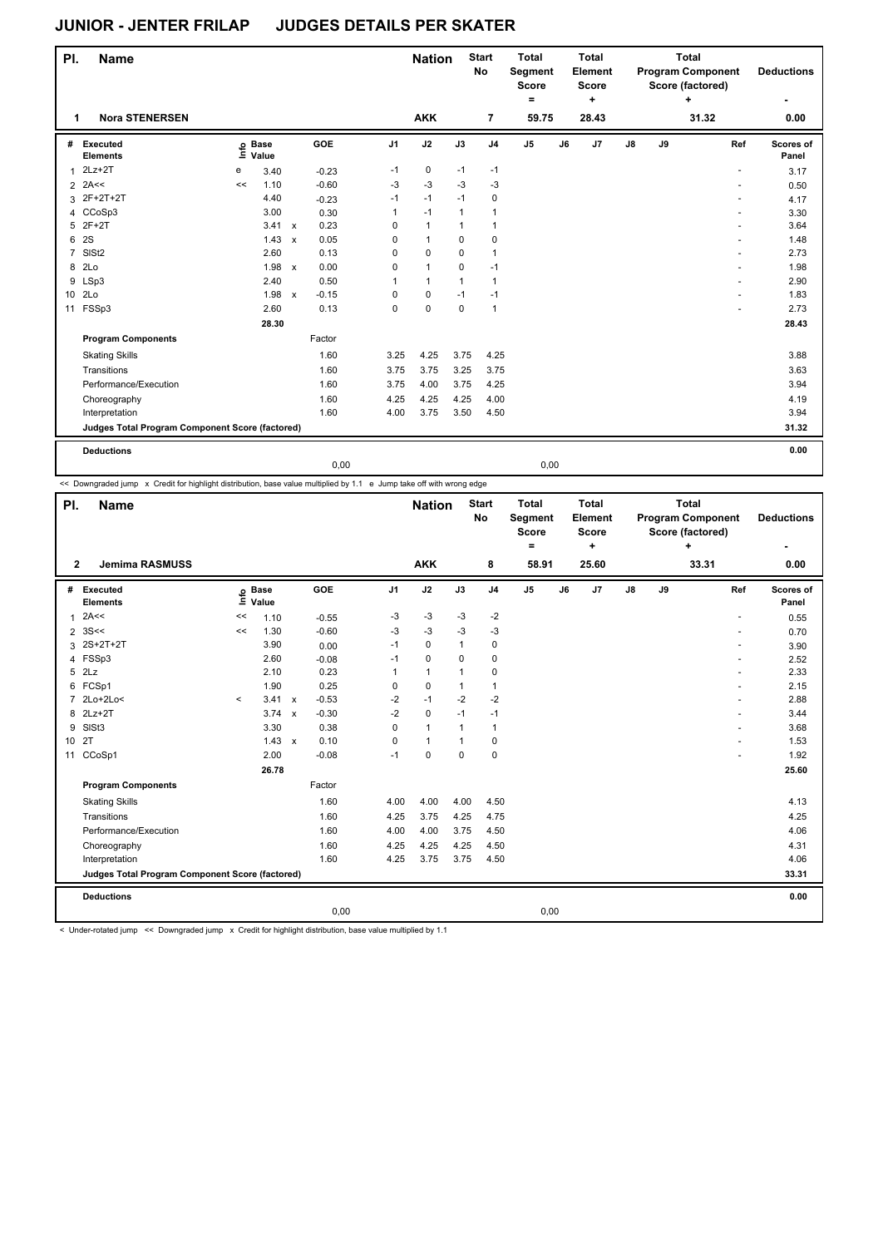|                | PI.<br><b>Name</b><br><b>Nora STENERSEN</b><br>1 |    |                            |                           |         |                | <b>Nation</b> |              | <b>Start</b><br><b>No</b> | <b>Total</b><br>Segment<br><b>Score</b><br>$=$ |    | <b>Total</b><br>Element<br>Score<br>$\ddot{}$ |               |    | <b>Total</b><br><b>Program Component</b><br>Score (factored)<br>÷ | <b>Deductions</b>  |
|----------------|--------------------------------------------------|----|----------------------------|---------------------------|---------|----------------|---------------|--------------|---------------------------|------------------------------------------------|----|-----------------------------------------------|---------------|----|-------------------------------------------------------------------|--------------------|
|                |                                                  |    |                            |                           |         |                | <b>AKK</b>    |              | 7                         | 59.75                                          |    | 28.43                                         |               |    | 31.32                                                             | ٠<br>0.00          |
|                |                                                  |    |                            |                           |         |                |               |              |                           |                                                |    |                                               |               |    |                                                                   |                    |
| #              | Executed<br><b>Elements</b>                      |    | e Base<br>≡ Value<br>Value |                           | GOE     | J <sub>1</sub> | J2            | J3           | J <sub>4</sub>            | $\mathsf{J}5$                                  | J6 | J7                                            | $\mathsf{J}8$ | J9 | Ref                                                               | Scores of<br>Panel |
| 1              | $2Lz+2T$                                         | е  | 3.40                       |                           | $-0.23$ | $-1$           | 0             | $-1$         | $-1$                      |                                                |    |                                               |               |    |                                                                   | 3.17               |
| $\overline{2}$ | 2A<<                                             | << | 1.10                       |                           | $-0.60$ | $-3$           | $-3$          | $-3$         | $-3$                      |                                                |    |                                               |               |    | $\overline{\phantom{a}}$                                          | 0.50               |
| 3              | 2F+2T+2T                                         |    | 4.40                       |                           | $-0.23$ | $-1$           | $-1$          | $-1$         | 0                         |                                                |    |                                               |               |    |                                                                   | 4.17               |
| 4              | CCoSp3                                           |    | 3.00                       |                           | 0.30    | 1              | $-1$          | $\mathbf{1}$ | 1                         |                                                |    |                                               |               |    |                                                                   | 3.30               |
| 5              | $2F+2T$                                          |    | 3.41                       | $\mathsf{x}$              | 0.23    | 0              | $\mathbf{1}$  | $\mathbf{1}$ | 1                         |                                                |    |                                               |               |    |                                                                   | 3.64               |
| 6              | 2S                                               |    | 1.43                       | $\boldsymbol{\mathsf{x}}$ | 0.05    | 0              | $\mathbf{1}$  | $\mathbf 0$  | 0                         |                                                |    |                                               |               |    |                                                                   | 1.48               |
| $\overline{7}$ | SISt <sub>2</sub>                                |    | 2.60                       |                           | 0.13    | 0              | $\mathbf 0$   | $\mathbf 0$  | $\mathbf{1}$              |                                                |    |                                               |               |    |                                                                   | 2.73               |
| 8              | 2 <sub>LO</sub>                                  |    | 1.98                       | $\mathsf{x}$              | 0.00    | 0              | $\mathbf{1}$  | $\mathbf 0$  | $-1$                      |                                                |    |                                               |               |    |                                                                   | 1.98               |
|                | 9 LSp3                                           |    | 2.40                       |                           | 0.50    | 1              | $\mathbf{1}$  | $\mathbf{1}$ | $\mathbf{1}$              |                                                |    |                                               |               |    |                                                                   | 2.90               |
| 10             | 2Lo                                              |    | 1.98                       | $\mathsf{x}$              | $-0.15$ | 0              | $\mathbf 0$   | $-1$         | $-1$                      |                                                |    |                                               |               |    |                                                                   | 1.83               |
| 11             | FSSp3                                            |    | 2.60                       |                           | 0.13    | 0              | 0             | 0            | $\overline{1}$            |                                                |    |                                               |               |    |                                                                   | 2.73               |
|                |                                                  |    | 28.30                      |                           |         |                |               |              |                           |                                                |    |                                               |               |    |                                                                   | 28.43              |
|                | <b>Program Components</b>                        |    |                            |                           | Factor  |                |               |              |                           |                                                |    |                                               |               |    |                                                                   |                    |
|                | <b>Skating Skills</b>                            |    |                            |                           | 1.60    | 3.25           | 4.25          | 3.75         | 4.25                      |                                                |    |                                               |               |    |                                                                   | 3.88               |
|                | Transitions                                      |    |                            |                           | 1.60    | 3.75           | 3.75          | 3.25         | 3.75                      |                                                |    |                                               |               |    |                                                                   | 3.63               |
|                | Performance/Execution                            |    |                            |                           | 1.60    | 3.75           | 4.00          | 3.75         | 4.25                      |                                                |    |                                               |               |    |                                                                   | 3.94               |
|                | Choreography                                     |    |                            |                           | 1.60    | 4.25           | 4.25          | 4.25         | 4.00                      |                                                |    |                                               |               |    |                                                                   | 4.19               |
|                | Interpretation                                   |    |                            |                           | 1.60    | 4.00           | 3.75          | 3.50         | 4.50                      |                                                |    |                                               |               |    |                                                                   | 3.94               |
|                | Judges Total Program Component Score (factored)  |    |                            |                           |         |                |               |              |                           |                                                |    |                                               |               |    |                                                                   | 31.32              |
|                | <b>Deductions</b>                                |    |                            |                           |         |                |               |              |                           |                                                |    |                                               |               |    |                                                                   | 0.00               |

0,00 0,00

<< Downgraded jump x Credit for highlight distribution, base value multiplied by 1.1 e Jump take off with wrong edge

|              | PI.<br><b>Name</b><br>$\overline{2}$<br><b>Jemima RASMUSS</b> |         |                            |              |         |                | <b>Nation</b> |              | <b>Start</b><br>No | <b>Total</b><br>Segment<br><b>Score</b><br>$\equiv$ |    | <b>Total</b><br>Element<br><b>Score</b><br>٠ |               |    | <b>Total</b><br><b>Program Component</b><br>Score (factored)<br>÷ | <b>Deductions</b>  |
|--------------|---------------------------------------------------------------|---------|----------------------------|--------------|---------|----------------|---------------|--------------|--------------------|-----------------------------------------------------|----|----------------------------------------------|---------------|----|-------------------------------------------------------------------|--------------------|
|              |                                                               |         |                            |              |         |                | <b>AKK</b>    |              | 8                  | 58.91                                               |    | 25.60                                        |               |    | 33.31                                                             | 0.00               |
| #            | Executed<br><b>Elements</b>                                   |         | e Base<br>≡ Value<br>Value |              | GOE     | J <sub>1</sub> | J2            | J3           | J <sub>4</sub>     | J <sub>5</sub>                                      | J6 | J <sub>7</sub>                               | $\mathsf{J}8$ | J9 | Ref                                                               | Scores of<br>Panel |
| $\mathbf{1}$ | 2A<<                                                          | <<      | 1.10                       |              | $-0.55$ | $-3$           | $-3$          | $-3$         | $-2$               |                                                     |    |                                              |               |    | ٠                                                                 | 0.55               |
|              | $2 \, 3S <$                                                   | <<      | 1.30                       |              | $-0.60$ | -3             | $-3$          | -3           | -3                 |                                                     |    |                                              |               |    | ٠                                                                 | 0.70               |
|              | 3 2S+2T+2T                                                    |         | 3.90                       |              | 0.00    | $-1$           | $\mathbf 0$   | $\mathbf{1}$ | $\mathbf 0$        |                                                     |    |                                              |               |    |                                                                   | 3.90               |
|              | 4 FSSp3                                                       |         | 2.60                       |              | $-0.08$ | $-1$           | 0             | 0            | 0                  |                                                     |    |                                              |               |    | ٠                                                                 | 2.52               |
| 5            | 2Lz                                                           |         | 2.10                       |              | 0.23    | 1              | $\mathbf{1}$  | 1            | $\mathbf 0$        |                                                     |    |                                              |               |    | ٠                                                                 | 2.33               |
| 6            | FCSp1                                                         |         | 1.90                       |              | 0.25    | 0              | $\mathbf 0$   | $\mathbf{1}$ | $\mathbf{1}$       |                                                     |    |                                              |               |    | ٠                                                                 | 2.15               |
|              | 2Lo+2Lo<                                                      | $\prec$ | 3.41 x                     |              | $-0.53$ | $-2$           | $-1$          | $-2$         | $-2$               |                                                     |    |                                              |               |    | ٠                                                                 | 2.88               |
|              | 8 2Lz+2T                                                      |         | 3.74                       | $\mathsf{x}$ | $-0.30$ | $-2$           | 0             | $-1$         | $-1$               |                                                     |    |                                              |               |    |                                                                   | 3.44               |
| 9            | SIS <sub>t3</sub>                                             |         | 3.30                       |              | 0.38    | $\Omega$       | $\mathbf{1}$  | $\mathbf{1}$ | $\mathbf{1}$       |                                                     |    |                                              |               |    |                                                                   | 3.68               |
| 10 2T        |                                                               |         | $1.43 \times$              |              | 0.10    | 0              | $\mathbf{1}$  | $\mathbf{1}$ | $\mathbf 0$        |                                                     |    |                                              |               |    | ٠                                                                 | 1.53               |
| 11           | CCoSp1                                                        |         | 2.00                       |              | $-0.08$ | $-1$           | $\pmb{0}$     | $\mathbf 0$  | $\mathbf 0$        |                                                     |    |                                              |               |    |                                                                   | 1.92               |
|              |                                                               |         | 26.78                      |              |         |                |               |              |                    |                                                     |    |                                              |               |    |                                                                   | 25.60              |
|              | <b>Program Components</b>                                     |         |                            |              | Factor  |                |               |              |                    |                                                     |    |                                              |               |    |                                                                   |                    |
|              | <b>Skating Skills</b>                                         |         |                            |              | 1.60    | 4.00           | 4.00          | 4.00         | 4.50               |                                                     |    |                                              |               |    |                                                                   | 4.13               |
|              | Transitions                                                   |         |                            |              | 1.60    | 4.25           | 3.75          | 4.25         | 4.75               |                                                     |    |                                              |               |    |                                                                   | 4.25               |
|              | Performance/Execution                                         |         |                            |              | 1.60    | 4.00           | 4.00          | 3.75         | 4.50               |                                                     |    |                                              |               |    |                                                                   | 4.06               |
|              | Choreography                                                  |         |                            |              | 1.60    | 4.25           | 4.25          | 4.25         | 4.50               |                                                     |    |                                              |               |    |                                                                   | 4.31               |
|              | Interpretation                                                |         |                            |              | 1.60    | 4.25           | 3.75          | 3.75         | 4.50               |                                                     |    |                                              |               |    |                                                                   | 4.06               |
|              | Judges Total Program Component Score (factored)               |         |                            |              |         |                |               |              |                    |                                                     |    |                                              |               |    |                                                                   | 33.31              |
|              | <b>Deductions</b>                                             |         |                            |              |         |                |               |              |                    |                                                     |    |                                              |               |    |                                                                   | 0.00               |
|              |                                                               |         |                            |              | 0,00    |                |               |              |                    | 0,00                                                |    |                                              |               |    |                                                                   |                    |

< Under-rotated jump << Downgraded jump x Credit for highlight distribution, base value multiplied by 1.1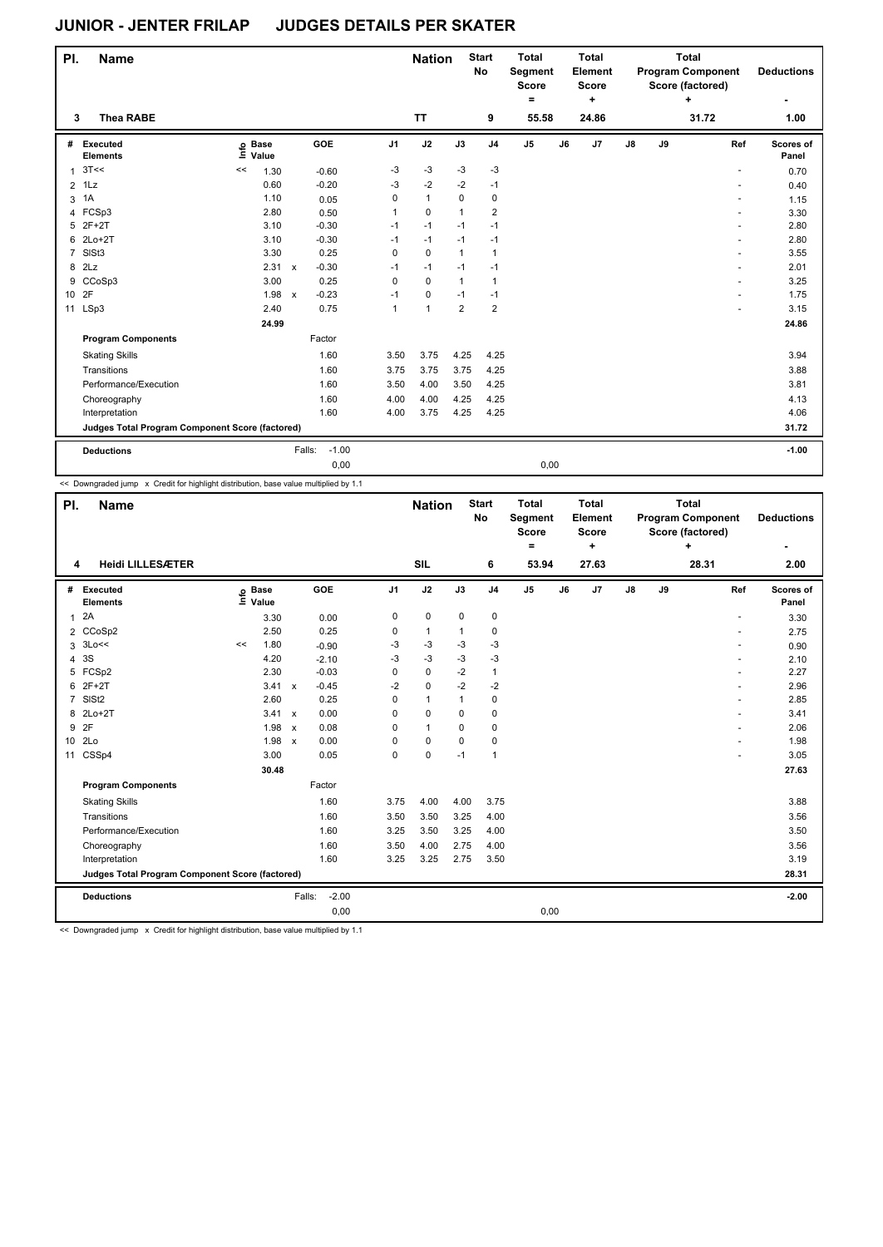| PI.     | <b>Name</b>                                     |             |       |              |                   |              | <b>Nation</b> |                | <b>Start</b><br>No | <b>Total</b><br><b>Segment</b><br><b>Score</b><br>۰ |       | <b>Total</b><br>Element<br><b>Score</b><br>٠ |    |    | <b>Total</b><br><b>Program Component</b><br>Score (factored)<br>$\ddot{}$ | <b>Deductions</b>                |
|---------|-------------------------------------------------|-------------|-------|--------------|-------------------|--------------|---------------|----------------|--------------------|-----------------------------------------------------|-------|----------------------------------------------|----|----|---------------------------------------------------------------------------|----------------------------------|
| 3       | <b>Thea RABE</b>                                |             |       |              |                   |              | <b>TT</b>     |                | 9                  |                                                     | 55.58 | 24.86                                        |    |    | 31.72                                                                     | 1.00                             |
| #       | Executed<br><b>Elements</b>                     | o Base<br>Ξ | Value |              | GOE               | J1           | J2            | J3             | J <sub>4</sub>     | J <sub>5</sub>                                      | J6    | J7                                           | J8 | J9 |                                                                           | Ref<br>Scores of<br>Panel        |
|         | $1 \, 3T <$                                     | <<          | 1.30  |              | $-0.60$           | $-3$         | $-3$          | $-3$           | $-3$               |                                                     |       |                                              |    |    |                                                                           | 0.70                             |
| $2$ 1Lz |                                                 |             | 0.60  |              | $-0.20$           | $-3$         | $-2$          | $-2$           | $-1$               |                                                     |       |                                              |    |    |                                                                           | 0.40                             |
| 3       | 1A                                              |             | 1.10  |              | 0.05              | 0            | $\mathbf{1}$  | $\mathbf 0$    | $\mathbf 0$        |                                                     |       |                                              |    |    |                                                                           | 1.15                             |
| 4       | FCSp3                                           |             | 2.80  |              | 0.50              | $\mathbf 1$  | $\Omega$      | 1              | $\overline{2}$     |                                                     |       |                                              |    |    |                                                                           | 3.30<br>$\overline{\phantom{0}}$ |
|         | 5 2F+2T                                         |             | 3.10  |              | $-0.30$           | $-1$         | $-1$          | $-1$           | $-1$               |                                                     |       |                                              |    |    |                                                                           | 2.80<br>÷.                       |
|         | 6 2Lo+2T                                        |             | 3.10  |              | $-0.30$           | $-1$         | $-1$          | $-1$           | $-1$               |                                                     |       |                                              |    |    |                                                                           | 2.80<br>÷.                       |
|         | 7 SISt3                                         |             | 3.30  |              | 0.25              | $\mathbf 0$  | $\mathbf 0$   | $\mathbf{1}$   | 1                  |                                                     |       |                                              |    |    |                                                                           | 3.55                             |
| 8 2Lz   |                                                 |             | 2.31  | $\mathsf{x}$ | $-0.30$           | $-1$         | $-1$          | $-1$           | $-1$               |                                                     |       |                                              |    |    |                                                                           | 2.01<br>$\sim$                   |
|         | 9 CCoSp3                                        |             | 3.00  |              | 0.25              | $\Omega$     | $\Omega$      | $\mathbf{1}$   | 1                  |                                                     |       |                                              |    |    |                                                                           | 3.25<br>$\overline{a}$           |
| 10      | 2F                                              |             | 1.98  | $\mathsf{x}$ | $-0.23$           | $-1$         | 0             | $-1$           | $-1$               |                                                     |       |                                              |    |    |                                                                           | 1.75                             |
| 11 LSp3 |                                                 |             | 2.40  |              | 0.75              | $\mathbf{1}$ | $\mathbf{1}$  | $\overline{2}$ | $\overline{2}$     |                                                     |       |                                              |    |    |                                                                           | 3.15                             |
|         |                                                 |             | 24.99 |              |                   |              |               |                |                    |                                                     |       |                                              |    |    |                                                                           | 24.86                            |
|         | <b>Program Components</b>                       |             |       |              | Factor            |              |               |                |                    |                                                     |       |                                              |    |    |                                                                           |                                  |
|         | <b>Skating Skills</b>                           |             |       |              | 1.60              | 3.50         | 3.75          | 4.25           | 4.25               |                                                     |       |                                              |    |    |                                                                           | 3.94                             |
|         | Transitions                                     |             |       |              | 1.60              | 3.75         | 3.75          | 3.75           | 4.25               |                                                     |       |                                              |    |    |                                                                           | 3.88                             |
|         | Performance/Execution                           |             |       |              | 1.60              | 3.50         | 4.00          | 3.50           | 4.25               |                                                     |       |                                              |    |    |                                                                           | 3.81                             |
|         | Choreography                                    |             |       |              | 1.60              | 4.00         | 4.00          | 4.25           | 4.25               |                                                     |       |                                              |    |    |                                                                           | 4.13                             |
|         | Interpretation                                  |             |       |              | 1.60              | 4.00         | 3.75          | 4.25           | 4.25               |                                                     |       |                                              |    |    |                                                                           | 4.06                             |
|         | Judges Total Program Component Score (factored) |             |       |              |                   |              |               |                |                    |                                                     |       |                                              |    |    |                                                                           | 31.72                            |
|         | <b>Deductions</b>                               |             |       |              | $-1.00$<br>Falls: |              |               |                |                    |                                                     |       |                                              |    |    |                                                                           | $-1.00$                          |
|         |                                                 |             |       |              | 0,00              |              |               |                |                    |                                                     | 0,00  |                                              |    |    |                                                                           |                                  |

<< Downgraded jump x Credit for highlight distribution, base value multiplied by 1.1

| PI.                     | <b>Name</b>                                     |      |                      |              |         |                | <b>Nation</b> |             | <b>Start</b><br>No | <b>Total</b><br>Segment<br><b>Score</b><br>Ξ. |    | <b>Total</b><br>Element<br><b>Score</b><br>÷ | <b>Total</b><br><b>Program Component</b><br>Score (factored)<br>٠<br>28.31 |    |                          | <b>Deductions</b>  |
|-------------------------|-------------------------------------------------|------|----------------------|--------------|---------|----------------|---------------|-------------|--------------------|-----------------------------------------------|----|----------------------------------------------|----------------------------------------------------------------------------|----|--------------------------|--------------------|
| 4                       | <b>Heidi LILLESÆTER</b>                         |      |                      |              |         |                | SIL           |             | 6                  | 53.94                                         |    | 27.63                                        |                                                                            |    |                          | 2.00               |
| #                       | Executed<br><b>Elements</b>                     | ١nfo | <b>Base</b><br>Value |              | GOE     | J <sub>1</sub> | J2            | J3          | J <sub>4</sub>     | J <sub>5</sub>                                | J6 | J7                                           | $\mathsf{J}8$                                                              | J9 | Ref                      | Scores of<br>Panel |
| 1                       | 2A                                              |      | 3.30                 |              | 0.00    | 0              | $\mathbf 0$   | $\mathbf 0$ | 0                  |                                               |    |                                              |                                                                            |    | $\sim$                   | 3.30               |
|                         | 2 CCoSp2                                        |      | 2.50                 |              | 0.25    | 0              | $\mathbf{1}$  | 1           | 0                  |                                               |    |                                              |                                                                            |    | $\overline{\phantom{a}}$ | 2.75               |
| 3                       | 3Lo<<                                           | <<   | 1.80                 |              | $-0.90$ | $-3$           | $-3$          | $-3$        | $-3$               |                                               |    |                                              |                                                                            |    |                          | 0.90               |
| $\overline{\mathbf{4}}$ | 3S                                              |      | 4.20                 |              | $-2.10$ | $-3$           | $-3$          | $-3$        | $-3$               |                                               |    |                                              |                                                                            |    |                          | 2.10               |
| 5                       | FCSp2                                           |      | 2.30                 |              | $-0.03$ | 0              | $\mathbf 0$   | $-2$        | $\mathbf{1}$       |                                               |    |                                              |                                                                            |    |                          | 2.27               |
| 6                       | $2F+2T$                                         |      | 3.41                 | $\mathsf{x}$ | $-0.45$ | $-2$           | 0             | $-2$        | $-2$               |                                               |    |                                              |                                                                            |    |                          | 2.96               |
| $\overline{7}$          | SISt <sub>2</sub>                               |      | 2.60                 |              | 0.25    | 0              | $\mathbf{1}$  | 1           | $\mathbf 0$        |                                               |    |                                              |                                                                            |    |                          | 2.85               |
| 8                       | $2Lo+2T$                                        |      | 3.41                 | $\mathsf{x}$ | 0.00    | $\Omega$       | $\Omega$      | $\Omega$    | 0                  |                                               |    |                                              |                                                                            |    |                          | 3.41               |
| 9                       | 2F                                              |      | 1.98                 | $\mathsf{x}$ | 0.08    | 0              | $\mathbf{1}$  | 0           | $\mathbf 0$        |                                               |    |                                              |                                                                            |    |                          | 2.06               |
| 10 <sup>°</sup>         | 2Lo                                             |      | 1.98                 | $\mathbf{x}$ | 0.00    | $\Omega$       | $\mathbf 0$   | $\Omega$    | $\mathbf 0$        |                                               |    |                                              |                                                                            |    |                          | 1.98               |
| 11                      | CSSp4                                           |      | 3.00                 |              | 0.05    | 0              | $\mathbf 0$   | $-1$        | $\mathbf{1}$       |                                               |    |                                              |                                                                            |    |                          | 3.05               |
|                         |                                                 |      | 30.48                |              |         |                |               |             |                    |                                               |    |                                              |                                                                            |    |                          | 27.63              |
|                         | <b>Program Components</b>                       |      |                      |              | Factor  |                |               |             |                    |                                               |    |                                              |                                                                            |    |                          |                    |
|                         | <b>Skating Skills</b>                           |      |                      |              | 1.60    | 3.75           | 4.00          | 4.00        | 3.75               |                                               |    |                                              |                                                                            |    |                          | 3.88               |
|                         | Transitions                                     |      |                      |              | 1.60    | 3.50           | 3.50          | 3.25        | 4.00               |                                               |    |                                              |                                                                            |    |                          | 3.56               |
|                         | Performance/Execution                           |      |                      |              | 1.60    | 3.25           | 3.50          | 3.25        | 4.00               |                                               |    |                                              |                                                                            |    |                          | 3.50               |
|                         | Choreography                                    |      |                      |              | 1.60    | 3.50           | 4.00          | 2.75        | 4.00               |                                               |    |                                              |                                                                            |    |                          | 3.56               |
|                         | Interpretation                                  |      |                      |              | 1.60    | 3.25           | 3.25          | 2.75        | 3.50               |                                               |    |                                              |                                                                            |    |                          | 3.19               |
|                         | Judges Total Program Component Score (factored) |      |                      |              |         |                |               |             |                    |                                               |    |                                              |                                                                            |    |                          | 28.31              |
|                         | <b>Deductions</b>                               |      |                      | Falls:       | $-2.00$ |                |               |             |                    |                                               |    |                                              |                                                                            |    |                          | $-2.00$            |
|                         |                                                 |      |                      |              | 0,00    |                |               |             |                    | 0,00                                          |    |                                              |                                                                            |    |                          |                    |

<< Downgraded jump x Credit for highlight distribution, base value multiplied by 1.1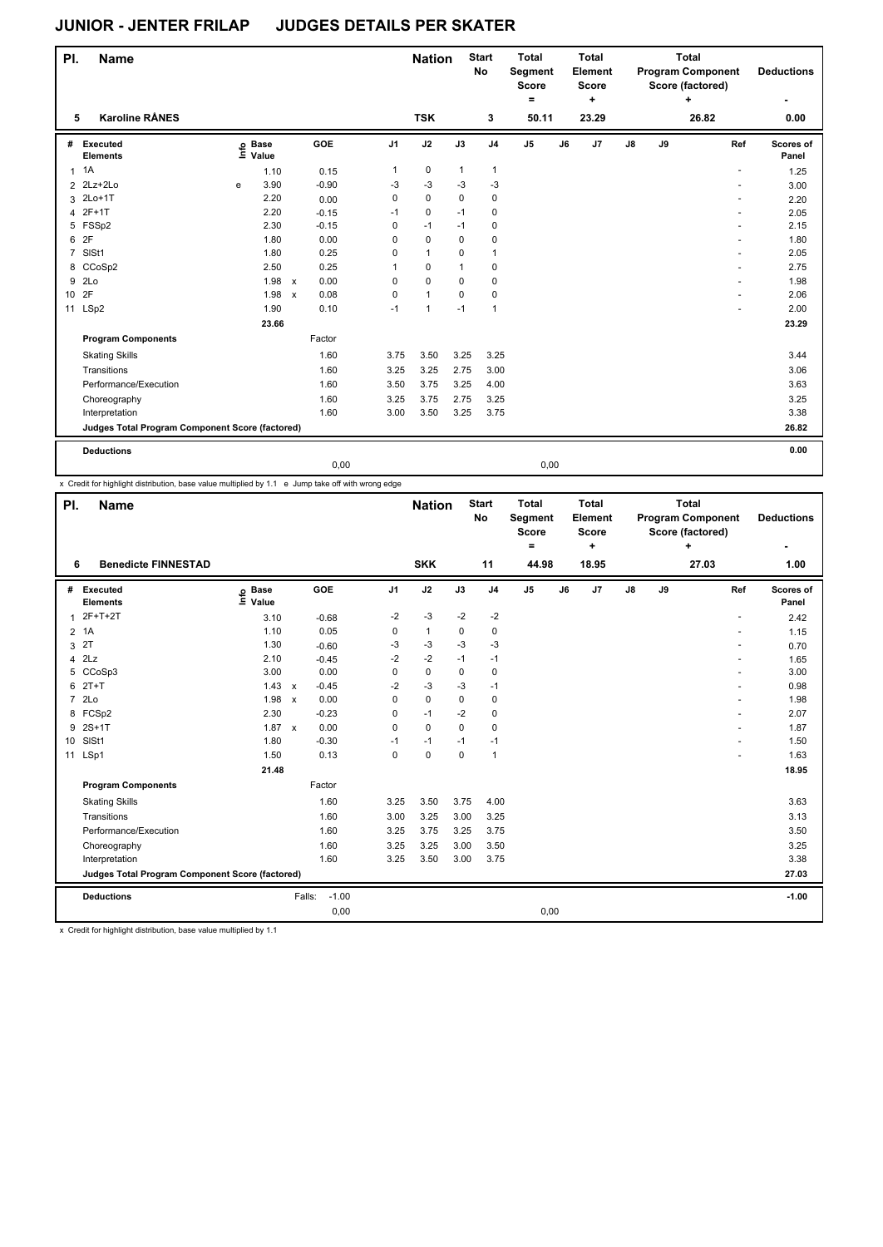| PI.             | <b>Name</b>                                     |   |                   |              |         |                | <b>Nation</b> |              | <b>Start</b><br>No | <b>Total</b><br><b>Segment</b><br><b>Score</b><br>۰ |    | <b>Total</b><br>Element<br><b>Score</b><br>÷ |               |    | <b>Total</b><br><b>Program Component</b><br>Score (factored)<br>٠ | <b>Deductions</b><br>۰ |
|-----------------|-------------------------------------------------|---|-------------------|--------------|---------|----------------|---------------|--------------|--------------------|-----------------------------------------------------|----|----------------------------------------------|---------------|----|-------------------------------------------------------------------|------------------------|
| 5               | <b>Karoline RÅNES</b>                           |   |                   |              |         |                | <b>TSK</b>    |              | 3                  | 50.11                                               |    | 23.29                                        |               |    | 26.82                                                             | 0.00                   |
| #               | Executed<br><b>Elements</b>                     |   | e Base<br>⊑ Value |              | GOE     | J <sub>1</sub> | J2            | J3           | J <sub>4</sub>     | $\mathsf{J}5$                                       | J6 | J <sub>7</sub>                               | $\mathsf{J}8$ | J9 | Ref                                                               | Scores of<br>Panel     |
| 1               | 1A                                              |   | 1.10              |              | 0.15    | 1              | $\pmb{0}$     | $\mathbf{1}$ | 1                  |                                                     |    |                                              |               |    |                                                                   | 1.25                   |
| 2               | $2Lz+2Lo$                                       | e | 3.90              |              | $-0.90$ | -3             | $-3$          | $-3$         | $-3$               |                                                     |    |                                              |               |    |                                                                   | 3.00                   |
| 3               | $2Lo+1T$                                        |   | 2.20              |              | 0.00    | 0              | $\mathbf 0$   | $\mathbf 0$  | 0                  |                                                     |    |                                              |               |    |                                                                   | 2.20                   |
|                 | 4 2F+1T                                         |   | 2.20              |              | $-0.15$ | $-1$           | 0             | $-1$         | 0                  |                                                     |    |                                              |               |    |                                                                   | 2.05                   |
|                 | 5 FSSp2                                         |   | 2.30              |              | $-0.15$ | 0              | $-1$          | $-1$         | 0                  |                                                     |    |                                              |               |    |                                                                   | 2.15                   |
| 6               | 2F                                              |   | 1.80              |              | 0.00    | 0              | $\mathbf 0$   | $\mathbf 0$  | 0                  |                                                     |    |                                              |               |    |                                                                   | 1.80                   |
| $\overline{7}$  | SISt1                                           |   | 1.80              |              | 0.25    | 0              | $\mathbf{1}$  | 0            | 1                  |                                                     |    |                                              |               |    |                                                                   | 2.05                   |
|                 | 8 CCoSp2                                        |   | 2.50              |              | 0.25    | 1              | $\Omega$      | $\mathbf{1}$ | 0                  |                                                     |    |                                              |               |    | $\sim$                                                            | 2.75                   |
| 9               | 2 <sub>LO</sub>                                 |   | 1.98              | $\mathsf{x}$ | 0.00    | 0              | $\mathbf 0$   | 0            | 0                  |                                                     |    |                                              |               |    |                                                                   | 1.98                   |
| 10 <sup>1</sup> | 2F                                              |   | 1.98              | $\mathsf{x}$ | 0.08    | 0              | $\mathbf{1}$  | 0            | 0                  |                                                     |    |                                              |               |    | ٠                                                                 | 2.06                   |
| 11              | LSp2                                            |   | 1.90              |              | 0.10    | $-1$           | $\mathbf{1}$  | $-1$         | 1                  |                                                     |    |                                              |               |    |                                                                   | 2.00                   |
|                 |                                                 |   | 23.66             |              |         |                |               |              |                    |                                                     |    |                                              |               |    |                                                                   | 23.29                  |
|                 | <b>Program Components</b>                       |   |                   |              | Factor  |                |               |              |                    |                                                     |    |                                              |               |    |                                                                   |                        |
|                 | <b>Skating Skills</b>                           |   |                   |              | 1.60    | 3.75           | 3.50          | 3.25         | 3.25               |                                                     |    |                                              |               |    |                                                                   | 3.44                   |
|                 | Transitions                                     |   |                   |              | 1.60    | 3.25           | 3.25          | 2.75         | 3.00               |                                                     |    |                                              |               |    |                                                                   | 3.06                   |
|                 | Performance/Execution                           |   |                   |              | 1.60    | 3.50           | 3.75          | 3.25         | 4.00               |                                                     |    |                                              |               |    |                                                                   | 3.63                   |
|                 | Choreography                                    |   |                   |              | 1.60    | 3.25           | 3.75          | 2.75         | 3.25               |                                                     |    |                                              |               |    |                                                                   | 3.25                   |
|                 | Interpretation                                  |   |                   |              | 1.60    | 3.00           | 3.50          | 3.25         | 3.75               |                                                     |    |                                              |               |    |                                                                   | 3.38                   |
|                 | Judges Total Program Component Score (factored) |   |                   |              |         |                |               |              |                    |                                                     |    |                                              |               |    |                                                                   | 26.82                  |
|                 | <b>Deductions</b>                               |   |                   |              |         |                |               |              |                    |                                                     |    |                                              |               |    |                                                                   | 0.00                   |

0,00 0,00

x Credit for highlight distribution, base value multiplied by 1.1 e Jump take off with wrong edge

| PI.             | <b>Name</b>                                     |                            |              |            |                | <b>Nation</b> |             | <b>Start</b><br>No | <b>Total</b><br>Segment<br><b>Score</b><br>۰ |    | <b>Total</b><br>Element<br><b>Score</b><br>÷ |               |    | <b>Total</b><br><b>Program Component</b><br>Score (factored)<br>÷ | <b>Deductions</b>  |
|-----------------|-------------------------------------------------|----------------------------|--------------|------------|----------------|---------------|-------------|--------------------|----------------------------------------------|----|----------------------------------------------|---------------|----|-------------------------------------------------------------------|--------------------|
| 6               | <b>Benedicte FINNESTAD</b>                      |                            |              |            |                | <b>SKK</b>    |             | 11                 | 44.98                                        |    | 18.95                                        |               |    | 27.03                                                             | 1.00               |
| #               | Executed<br><b>Elements</b>                     | e Base<br>≡ Value<br>Value |              | <b>GOE</b> | J <sub>1</sub> | J2            | J3          | J <sub>4</sub>     | J <sub>5</sub>                               | J6 | J <sub>7</sub>                               | $\mathsf{J}8$ | J9 | Ref                                                               | Scores of<br>Panel |
| $\mathbf 1$     | $2F+T+2T$                                       | 3.10                       |              | $-0.68$    | $-2$           | $-3$          | $-2$        | $-2$               |                                              |    |                                              |               |    |                                                                   | 2.42               |
| $\overline{2}$  | 1A                                              | 1.10                       |              | 0.05       | $\mathbf 0$    | $\mathbf{1}$  | $\mathbf 0$ | $\mathbf 0$        |                                              |    |                                              |               |    | ٠                                                                 | 1.15               |
| 3               | 2T                                              | 1.30                       |              | $-0.60$    | -3             | $-3$          | $-3$        | $-3$               |                                              |    |                                              |               |    |                                                                   | 0.70               |
| 4               | 2Lz                                             | 2.10                       |              | $-0.45$    | $-2$           | $-2$          | $-1$        | $-1$               |                                              |    |                                              |               |    |                                                                   | 1.65               |
| 5               | CCoSp3                                          | 3.00                       |              | 0.00       | 0              | $\mathbf 0$   | 0           | $\mathbf 0$        |                                              |    |                                              |               |    |                                                                   | 3.00               |
| 6               | $2T+T$                                          | 1.43                       | $\mathsf{x}$ | $-0.45$    | $-2$           | $-3$          | -3          | $-1$               |                                              |    |                                              |               |    |                                                                   | 0.98               |
| $\overline{7}$  | 2Lo                                             | 1.98                       | $\mathsf{x}$ | 0.00       | $\Omega$       | $\mathbf 0$   | $\Omega$    | 0                  |                                              |    |                                              |               |    | $\overline{a}$                                                    | 1.98               |
|                 | 8 FCSp2                                         | 2.30                       |              | $-0.23$    | 0              | $-1$          | $-2$        | $\mathbf 0$        |                                              |    |                                              |               |    |                                                                   | 2.07               |
|                 | 9 2S+1T                                         | 1.87 x                     |              | 0.00       | $\Omega$       | $\Omega$      | $\Omega$    | $\Omega$           |                                              |    |                                              |               |    |                                                                   | 1.87               |
| 10 <sup>1</sup> | SISt1                                           | 1.80                       |              | $-0.30$    | $-1$           | $-1$          | $-1$        | $-1$               |                                              |    |                                              |               |    |                                                                   | 1.50               |
| 11              | LSp1                                            | 1.50                       |              | 0.13       | $\mathbf 0$    | $\pmb{0}$     | 0           | $\mathbf{1}$       |                                              |    |                                              |               |    |                                                                   | 1.63               |
|                 |                                                 | 21.48                      |              |            |                |               |             |                    |                                              |    |                                              |               |    |                                                                   | 18.95              |
|                 | <b>Program Components</b>                       |                            |              | Factor     |                |               |             |                    |                                              |    |                                              |               |    |                                                                   |                    |
|                 | <b>Skating Skills</b>                           |                            |              | 1.60       | 3.25           | 3.50          | 3.75        | 4.00               |                                              |    |                                              |               |    |                                                                   | 3.63               |
|                 | Transitions                                     |                            |              | 1.60       | 3.00           | 3.25          | 3.00        | 3.25               |                                              |    |                                              |               |    |                                                                   | 3.13               |
|                 | Performance/Execution                           |                            |              | 1.60       | 3.25           | 3.75          | 3.25        | 3.75               |                                              |    |                                              |               |    |                                                                   | 3.50               |
|                 | Choreography                                    |                            |              | 1.60       | 3.25           | 3.25          | 3.00        | 3.50               |                                              |    |                                              |               |    |                                                                   | 3.25               |
|                 | Interpretation                                  |                            |              | 1.60       | 3.25           | 3.50          | 3.00        | 3.75               |                                              |    |                                              |               |    |                                                                   | 3.38               |
|                 | Judges Total Program Component Score (factored) |                            |              |            |                |               |             |                    |                                              |    |                                              |               |    |                                                                   | 27.03              |
|                 | <b>Deductions</b>                               |                            | Falls:       | $-1.00$    |                |               |             |                    |                                              |    |                                              |               |    |                                                                   | $-1.00$            |
|                 |                                                 |                            |              | 0,00       |                |               |             |                    | 0,00                                         |    |                                              |               |    |                                                                   |                    |

x Credit for highlight distribution, base value multiplied by 1.1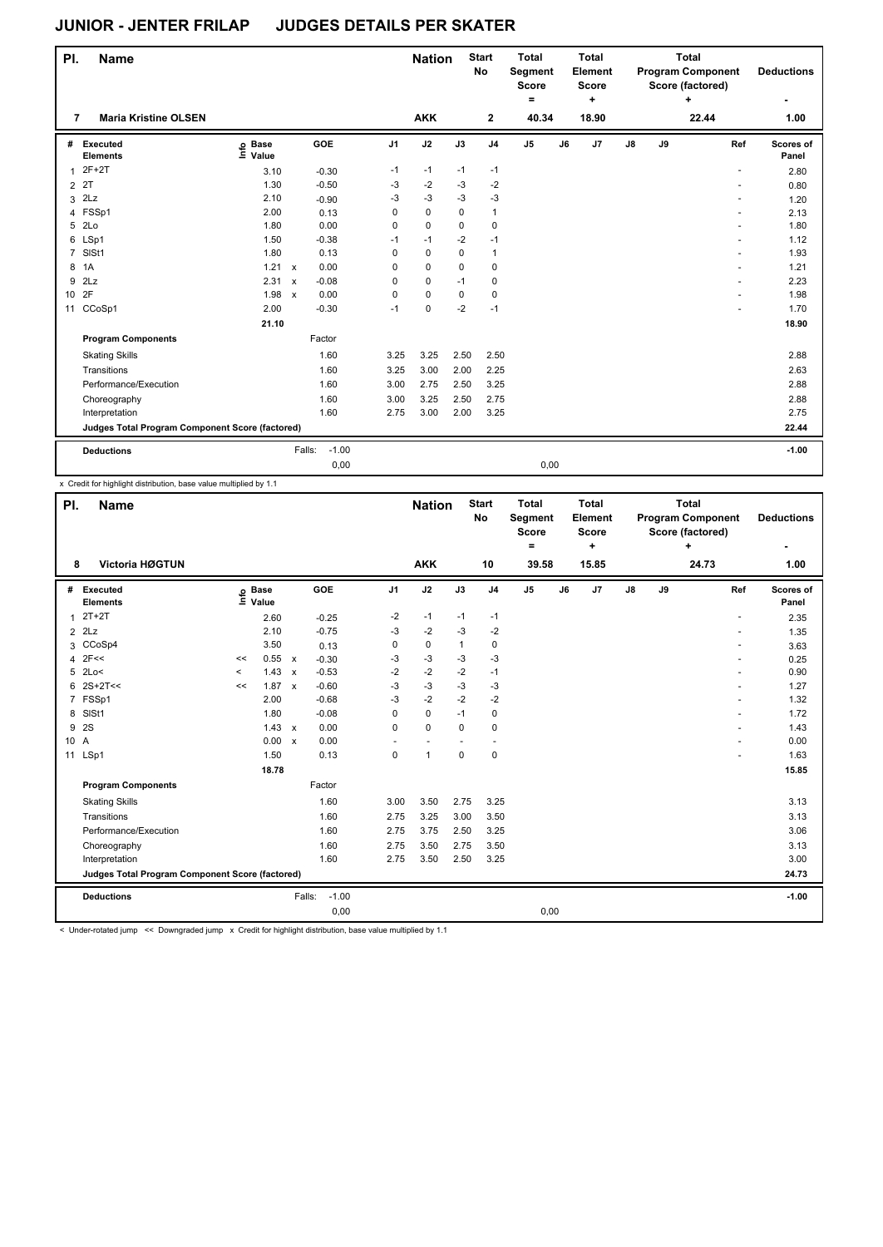| PI.            | <b>Name</b>                                     |                   |                           |                   |                | <b>Nation</b> |             | <b>Start</b><br><b>No</b> | <b>Total</b><br>Segment<br><b>Score</b><br>$=$ |    | <b>Total</b><br>Element<br><b>Score</b><br>٠ |               |    | <b>Total</b><br><b>Program Component</b><br>Score (factored)<br>٠ |     | <b>Deductions</b>  |
|----------------|-------------------------------------------------|-------------------|---------------------------|-------------------|----------------|---------------|-------------|---------------------------|------------------------------------------------|----|----------------------------------------------|---------------|----|-------------------------------------------------------------------|-----|--------------------|
| 7              | <b>Maria Kristine OLSEN</b>                     |                   |                           |                   |                | <b>AKK</b>    |             | $\mathbf 2$               | 40.34                                          |    | 18.90                                        |               |    | 22.44                                                             |     | 1.00               |
| #              | Executed<br><b>Elements</b>                     | e Base<br>⊑ Value |                           | GOE               | J <sub>1</sub> | J2            | J3          | J <sub>4</sub>            | J <sub>5</sub>                                 | J6 | J7                                           | $\mathsf{J}8$ | J9 |                                                                   | Ref | Scores of<br>Panel |
| 1              | $2F+2T$                                         | 3.10              |                           | $-0.30$           | $-1$           | $-1$          | $-1$        | $-1$                      |                                                |    |                                              |               |    |                                                                   |     | 2.80               |
| $\overline{2}$ | 2T                                              | 1.30              |                           | $-0.50$           | $-3$           | $-2$          | $-3$        | $-2$                      |                                                |    |                                              |               |    |                                                                   |     | 0.80               |
| 3              | 2Lz                                             | 2.10              |                           | $-0.90$           | -3             | $-3$          | $-3$        | $-3$                      |                                                |    |                                              |               |    |                                                                   |     | 1.20               |
| 4              | FSSp1                                           | 2.00              |                           | 0.13              | 0              | $\mathbf 0$   | $\mathbf 0$ | 1                         |                                                |    |                                              |               |    |                                                                   |     | 2.13               |
| 5              | 2Lo                                             | 1.80              |                           | 0.00              | 0              | $\mathbf 0$   | $\mathbf 0$ | $\mathbf 0$               |                                                |    |                                              |               |    |                                                                   |     | 1.80               |
| 6              | LSp1                                            | 1.50              |                           | $-0.38$           | $-1$           | $-1$          | $-2$        | $-1$                      |                                                |    |                                              |               |    |                                                                   |     | 1.12               |
| $\overline{7}$ | SISt1                                           | 1.80              |                           | 0.13              | 0              | $\pmb{0}$     | $\mathbf 0$ | 1                         |                                                |    |                                              |               |    |                                                                   |     | 1.93               |
| 8              | 1A                                              | 1.21              | $\mathsf{x}$              | 0.00              | 0              | $\mathbf 0$   | $\Omega$    | $\mathbf 0$               |                                                |    |                                              |               |    |                                                                   |     | 1.21               |
| 9              | 2Lz                                             | 2.31              | $\boldsymbol{\mathsf{x}}$ | $-0.08$           | 0              | $\mathbf 0$   | $-1$        | 0                         |                                                |    |                                              |               |    |                                                                   |     | 2.23               |
| 10             | 2F                                              | 1.98              | $\boldsymbol{\mathsf{x}}$ | 0.00              | 0              | $\pmb{0}$     | 0           | 0                         |                                                |    |                                              |               |    |                                                                   | ٠   | 1.98               |
|                | 11 CCoSp1                                       | 2.00              |                           | $-0.30$           | $-1$           | $\mathbf 0$   | $-2$        | $-1$                      |                                                |    |                                              |               |    |                                                                   |     | 1.70               |
|                |                                                 | 21.10             |                           |                   |                |               |             |                           |                                                |    |                                              |               |    |                                                                   |     | 18.90              |
|                | <b>Program Components</b>                       |                   |                           | Factor            |                |               |             |                           |                                                |    |                                              |               |    |                                                                   |     |                    |
|                | <b>Skating Skills</b>                           |                   |                           | 1.60              | 3.25           | 3.25          | 2.50        | 2.50                      |                                                |    |                                              |               |    |                                                                   |     | 2.88               |
|                | Transitions                                     |                   |                           | 1.60              | 3.25           | 3.00          | 2.00        | 2.25                      |                                                |    |                                              |               |    |                                                                   |     | 2.63               |
|                | Performance/Execution                           |                   |                           | 1.60              | 3.00           | 2.75          | 2.50        | 3.25                      |                                                |    |                                              |               |    |                                                                   |     | 2.88               |
|                | Choreography                                    |                   |                           | 1.60              | 3.00           | 3.25          | 2.50        | 2.75                      |                                                |    |                                              |               |    |                                                                   |     | 2.88               |
|                | Interpretation                                  |                   |                           | 1.60              | 2.75           | 3.00          | 2.00        | 3.25                      |                                                |    |                                              |               |    |                                                                   |     | 2.75               |
|                | Judges Total Program Component Score (factored) |                   |                           |                   |                |               |             |                           |                                                |    |                                              |               |    |                                                                   |     | 22.44              |
|                | <b>Deductions</b>                               |                   |                           | $-1.00$<br>Falls: |                |               |             |                           |                                                |    |                                              |               |    |                                                                   |     | $-1.00$            |
|                |                                                 |                   |                           | 0,00              |                |               |             |                           | 0,00                                           |    |                                              |               |    |                                                                   |     |                    |

x Credit for highlight distribution, base value multiplied by 1.1

| PI.            | <b>Name</b><br><b>Victoria HØGTUN</b>           |          |                      |              |                   |                | <b>Nation</b> |                          | <b>Start</b><br><b>No</b> | <b>Total</b><br>Segment<br><b>Score</b><br>$\equiv$ |    | <b>Total</b><br>Element<br><b>Score</b><br>÷ |               |    | <b>Total</b><br><b>Program Component</b><br>Score (factored)<br>÷ |                          | <b>Deductions</b>  |
|----------------|-------------------------------------------------|----------|----------------------|--------------|-------------------|----------------|---------------|--------------------------|---------------------------|-----------------------------------------------------|----|----------------------------------------------|---------------|----|-------------------------------------------------------------------|--------------------------|--------------------|
| 8              |                                                 |          |                      |              |                   |                | <b>AKK</b>    |                          | 10                        | 39.58                                               |    | 15.85                                        |               |    | 24.73                                                             |                          | 1.00               |
| #              | Executed<br><b>Elements</b>                     | ۴ô       | <b>Base</b><br>Value |              | <b>GOE</b>        | J <sub>1</sub> | J2            | J3                       | J <sub>4</sub>            | J <sub>5</sub>                                      | J6 | J <sub>7</sub>                               | $\mathsf{J}8$ | J9 |                                                                   | Ref                      | Scores of<br>Panel |
| $\mathbf{1}$   | $2T+2T$                                         |          | 2.60                 |              | $-0.25$           | $-2$           | $-1$          | $-1$                     | $-1$                      |                                                     |    |                                              |               |    |                                                                   | ٠                        | 2.35               |
| $\overline{2}$ | 2Lz                                             |          | 2.10                 |              | $-0.75$           | -3             | $-2$          | $-3$                     | $-2$                      |                                                     |    |                                              |               |    |                                                                   | $\sim$                   | 1.35               |
| 3              | CCoSp4                                          |          | 3.50                 |              | 0.13              | 0              | $\mathbf 0$   | 1                        | 0                         |                                                     |    |                                              |               |    |                                                                   |                          | 3.63               |
| 4              | 2F<<                                            | <<       | 0.55                 | $\mathsf{x}$ | $-0.30$           | -3             | $-3$          | $-3$                     | $-3$                      |                                                     |    |                                              |               |    |                                                                   |                          | 0.25               |
| 5              | 2Lo<                                            | $\hat{}$ | 1.43                 | $\mathbf{x}$ | $-0.53$           | $-2$           | $-2$          | $-2$                     | $-1$                      |                                                     |    |                                              |               |    |                                                                   |                          | 0.90               |
| 6              | $2S+2T<<$                                       | <<       | 1.87                 | $\mathbf{x}$ | $-0.60$           | $-3$           | $-3$          | $-3$                     | $-3$                      |                                                     |    |                                              |               |    |                                                                   | ٠                        | 1.27               |
|                | 7 FSSp1                                         |          | 2.00                 |              | $-0.68$           | -3             | $-2$          | $-2$                     | $-2$                      |                                                     |    |                                              |               |    |                                                                   | $\overline{\phantom{a}}$ | 1.32               |
| 8              | SISt1                                           |          | 1.80                 |              | $-0.08$           | $\Omega$       | $\mathbf 0$   | $-1$                     | $\mathbf 0$               |                                                     |    |                                              |               |    |                                                                   |                          | 1.72               |
| 9              | 2S                                              |          | 1.43                 | $\mathsf{x}$ | 0.00              | $\Omega$       | $\mathbf 0$   | $\Omega$                 | $\mathbf 0$               |                                                     |    |                                              |               |    |                                                                   |                          | 1.43               |
| 10 A           |                                                 |          | 0.00                 | $\mathbf{x}$ | 0.00              | ٠              | ٠             | $\overline{\phantom{a}}$ | $\overline{\phantom{a}}$  |                                                     |    |                                              |               |    |                                                                   |                          | 0.00               |
| 11             | LSp1                                            |          | 1.50                 |              | 0.13              | $\mathbf 0$    | $\mathbf{1}$  | $\mathbf 0$              | $\mathbf 0$               |                                                     |    |                                              |               |    |                                                                   |                          | 1.63               |
|                |                                                 |          | 18.78                |              |                   |                |               |                          |                           |                                                     |    |                                              |               |    |                                                                   |                          | 15.85              |
|                | <b>Program Components</b>                       |          |                      |              | Factor            |                |               |                          |                           |                                                     |    |                                              |               |    |                                                                   |                          |                    |
|                | <b>Skating Skills</b>                           |          |                      |              | 1.60              | 3.00           | 3.50          | 2.75                     | 3.25                      |                                                     |    |                                              |               |    |                                                                   |                          | 3.13               |
|                | Transitions                                     |          |                      |              | 1.60              | 2.75           | 3.25          | 3.00                     | 3.50                      |                                                     |    |                                              |               |    |                                                                   |                          | 3.13               |
|                | Performance/Execution                           |          |                      |              | 1.60              | 2.75           | 3.75          | 2.50                     | 3.25                      |                                                     |    |                                              |               |    |                                                                   |                          | 3.06               |
|                | Choreography                                    |          |                      |              | 1.60              | 2.75           | 3.50          | 2.75                     | 3.50                      |                                                     |    |                                              |               |    |                                                                   |                          | 3.13               |
|                | Interpretation                                  |          |                      |              | 1.60              | 2.75           | 3.50          | 2.50                     | 3.25                      |                                                     |    |                                              |               |    |                                                                   |                          | 3.00               |
|                | Judges Total Program Component Score (factored) |          |                      |              |                   |                |               |                          |                           |                                                     |    |                                              |               |    |                                                                   |                          | 24.73              |
|                | <b>Deductions</b>                               |          |                      |              | $-1.00$<br>Falls: |                |               |                          |                           |                                                     |    |                                              |               |    |                                                                   |                          | $-1.00$            |
|                |                                                 |          |                      |              | 0,00              |                |               |                          |                           | 0,00                                                |    |                                              |               |    |                                                                   |                          |                    |

< Under-rotated jump << Downgraded jump x Credit for highlight distribution, base value multiplied by 1.1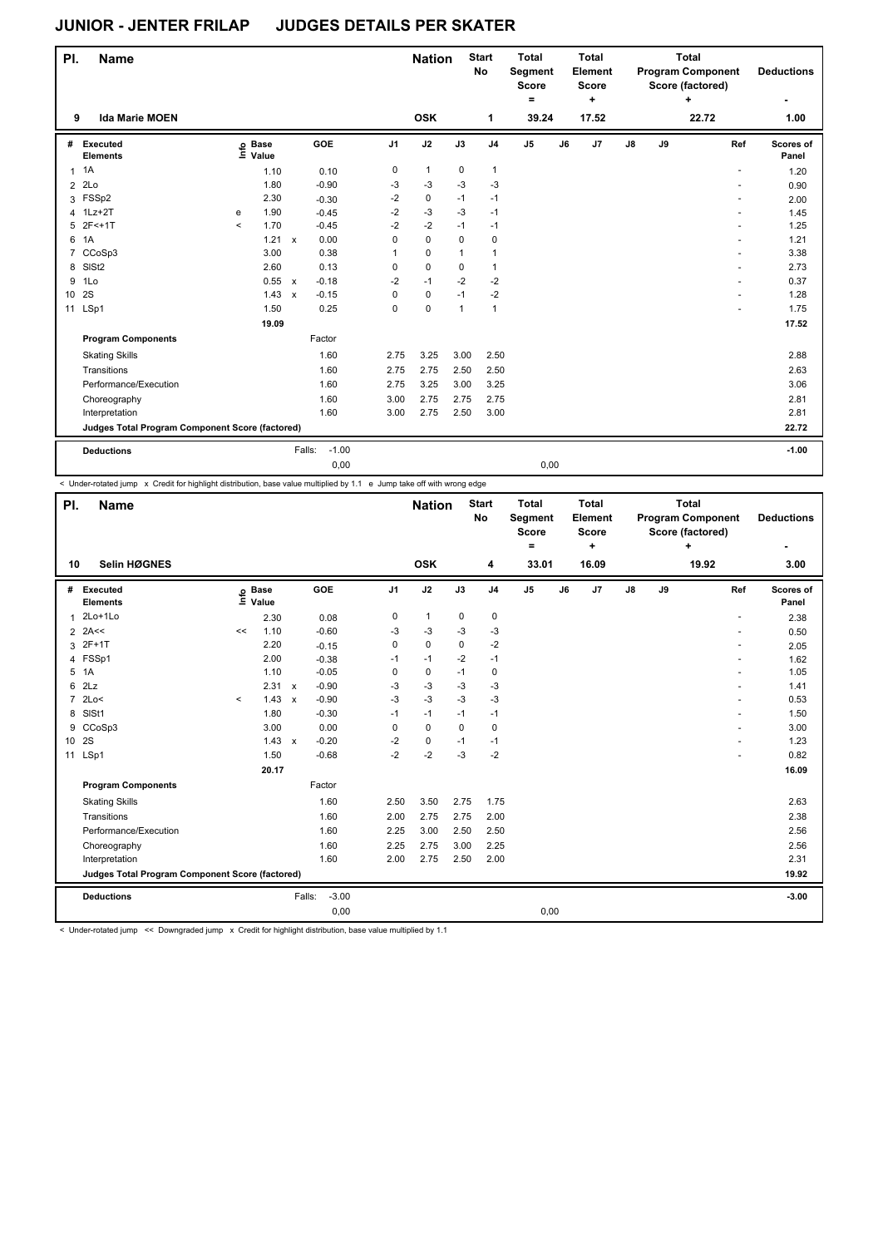| PI.            | <b>Name</b>                                     |                     |                   |              |                   |                | <b>Nation</b> |              | <b>Start</b><br><b>No</b> | <b>Total</b><br>Segment<br><b>Score</b><br>$\equiv$ |    | <b>Total</b><br>Element<br><b>Score</b><br>٠ |               |    | <b>Total</b><br><b>Program Component</b><br>Score (factored)<br>٠ |                | <b>Deductions</b>  |
|----------------|-------------------------------------------------|---------------------|-------------------|--------------|-------------------|----------------|---------------|--------------|---------------------------|-----------------------------------------------------|----|----------------------------------------------|---------------|----|-------------------------------------------------------------------|----------------|--------------------|
| 9              | <b>Ida Marie MOEN</b>                           |                     |                   |              |                   |                | <b>OSK</b>    |              | 1                         | 39.24                                               |    | 17.52                                        |               |    | 22.72                                                             |                | 1.00               |
| #              | Executed<br><b>Elements</b>                     |                     | e Base<br>⊑ Value |              | GOE               | J <sub>1</sub> | J2            | J3           | J <sub>4</sub>            | $\mathsf{J}5$                                       | J6 | J <sub>7</sub>                               | $\mathsf{J}8$ | J9 |                                                                   | Ref            | Scores of<br>Panel |
| 1              | 1A                                              |                     | 1.10              |              | 0.10              | 0              | $\mathbf{1}$  | $\mathbf 0$  | $\mathbf{1}$              |                                                     |    |                                              |               |    |                                                                   |                | 1.20               |
| $\overline{2}$ | 2Lo                                             |                     | 1.80              |              | $-0.90$           | $-3$           | $-3$          | $-3$         | $-3$                      |                                                     |    |                                              |               |    |                                                                   |                | 0.90               |
|                | 3 FSSp2                                         |                     | 2.30              |              | $-0.30$           | $-2$           | 0             | $-1$         | $-1$                      |                                                     |    |                                              |               |    |                                                                   |                | 2.00               |
| 4              | $1Lz+2T$                                        | e                   | 1.90              |              | $-0.45$           | $-2$           | $-3$          | $-3$         | $-1$                      |                                                     |    |                                              |               |    |                                                                   |                | 1.45               |
| 5              | $2F<+1T$                                        | $\hat{\phantom{a}}$ | 1.70              |              | $-0.45$           | $-2$           | $-2$          | $-1$         | $-1$                      |                                                     |    |                                              |               |    |                                                                   |                | 1.25               |
| 6              | 1A                                              |                     | 1.21              | $\mathsf{x}$ | 0.00              | 0              | $\mathbf 0$   | $\mathbf 0$  | $\mathbf 0$               |                                                     |    |                                              |               |    |                                                                   |                | 1.21               |
| 7              | CCoSp3                                          |                     | 3.00              |              | 0.38              | 1              | $\mathbf 0$   | $\mathbf{1}$ | 1                         |                                                     |    |                                              |               |    |                                                                   |                | 3.38               |
| 8              | SISt <sub>2</sub>                               |                     | 2.60              |              | 0.13              | 0              | $\mathbf 0$   | $\mathbf 0$  | 1                         |                                                     |    |                                              |               |    |                                                                   |                | 2.73               |
| 9              | 1Lo                                             |                     | 0.55              | $\mathsf{x}$ | $-0.18$           | $-2$           | $-1$          | $-2$         | $-2$                      |                                                     |    |                                              |               |    |                                                                   |                | 0.37               |
| 10             | 2S                                              |                     | 1.43              | $\mathsf{x}$ | $-0.15$           | 0              | $\pmb{0}$     | $-1$         | $-2$                      |                                                     |    |                                              |               |    |                                                                   | $\overline{a}$ | 1.28               |
| 11             | LSp1                                            |                     | 1.50              |              | 0.25              | 0              | 0             | $\mathbf{1}$ | $\mathbf{1}$              |                                                     |    |                                              |               |    |                                                                   |                | 1.75               |
|                |                                                 |                     | 19.09             |              |                   |                |               |              |                           |                                                     |    |                                              |               |    |                                                                   |                | 17.52              |
|                | <b>Program Components</b>                       |                     |                   |              | Factor            |                |               |              |                           |                                                     |    |                                              |               |    |                                                                   |                |                    |
|                | <b>Skating Skills</b>                           |                     |                   |              | 1.60              | 2.75           | 3.25          | 3.00         | 2.50                      |                                                     |    |                                              |               |    |                                                                   |                | 2.88               |
|                | Transitions                                     |                     |                   |              | 1.60              | 2.75           | 2.75          | 2.50         | 2.50                      |                                                     |    |                                              |               |    |                                                                   |                | 2.63               |
|                | Performance/Execution                           |                     |                   |              | 1.60              | 2.75           | 3.25          | 3.00         | 3.25                      |                                                     |    |                                              |               |    |                                                                   |                | 3.06               |
|                | Choreography                                    |                     |                   |              | 1.60              | 3.00           | 2.75          | 2.75         | 2.75                      |                                                     |    |                                              |               |    |                                                                   |                | 2.81               |
|                | Interpretation                                  |                     |                   |              | 1.60              | 3.00           | 2.75          | 2.50         | 3.00                      |                                                     |    |                                              |               |    |                                                                   |                | 2.81               |
|                | Judges Total Program Component Score (factored) |                     |                   |              |                   |                |               |              |                           |                                                     |    |                                              |               |    |                                                                   |                | 22.72              |
|                | <b>Deductions</b>                               |                     |                   |              | Falls:<br>$-1.00$ |                |               |              |                           |                                                     |    |                                              |               |    |                                                                   |                | $-1.00$            |
|                |                                                 |                     |                   |              | 0,00              |                |               |              |                           | 0,00                                                |    |                                              |               |    |                                                                   |                |                    |

< Under-rotated jump x Credit for highlight distribution, base value multiplied by 1.1 e Jump take off with wrong edge

| PI.            | <b>Name</b><br>Selin HØGNES                     |         |                   |              |                   |                | <b>Nation</b> |             | <b>Start</b><br>No | <b>Total</b><br>Segment<br><b>Score</b><br>Ξ. |    | <b>Total</b><br>Element<br><b>Score</b><br>÷ |               |    | <b>Total</b><br><b>Program Component</b><br>Score (factored)<br>$\ddot{}$ | <b>Deductions</b>  |
|----------------|-------------------------------------------------|---------|-------------------|--------------|-------------------|----------------|---------------|-------------|--------------------|-----------------------------------------------|----|----------------------------------------------|---------------|----|---------------------------------------------------------------------------|--------------------|
| 10             |                                                 |         |                   |              |                   |                | <b>OSK</b>    |             | 4                  | 33.01                                         |    | 16.09                                        |               |    | 19.92                                                                     | 3.00               |
| #              | Executed<br><b>Elements</b>                     |         | e Base<br>⊑ Value |              | GOE               | J <sub>1</sub> | J2            | J3          | J <sub>4</sub>     | J <sub>5</sub>                                | J6 | J7                                           | $\mathsf{J}8$ | J9 | Ref                                                                       | Scores of<br>Panel |
| 1              | $2Lo+1Lo$                                       |         | 2.30              |              | 0.08              | 0              | $\mathbf{1}$  | $\mathbf 0$ | $\mathbf 0$        |                                               |    |                                              |               |    |                                                                           | 2.38               |
|                | $2$ 2A <<                                       | <<      | 1.10              |              | $-0.60$           | $-3$           | $-3$          | $-3$        | $-3$               |                                               |    |                                              |               |    | ٠                                                                         | 0.50               |
| 3              | $2F+1T$                                         |         | 2.20              |              | $-0.15$           | $\Omega$       | $\mathbf 0$   | $\mathbf 0$ | $-2$               |                                               |    |                                              |               |    |                                                                           | 2.05               |
|                | 4 FSSp1                                         |         | 2.00              |              | $-0.38$           | $-1$           | $-1$          | $-2$        | $-1$               |                                               |    |                                              |               |    | ٠                                                                         | 1.62               |
| 5              | 1A                                              |         | 1.10              |              | $-0.05$           | 0              | $\mathbf 0$   | $-1$        | 0                  |                                               |    |                                              |               |    | ÷                                                                         | 1.05               |
| 6              | 2Lz                                             |         | 2.31              | $\mathsf{x}$ | $-0.90$           | -3             | $-3$          | $-3$        | $-3$               |                                               |    |                                              |               |    | ÷                                                                         | 1.41               |
| $\overline{7}$ | 2Lo<                                            | $\,<\,$ | 1.43              | $\mathsf{x}$ | $-0.90$           | $-3$           | $-3$          | $-3$        | $-3$               |                                               |    |                                              |               |    | $\overline{a}$                                                            | 0.53               |
|                | 8 SISt1                                         |         | 1.80              |              | $-0.30$           | $-1$           | $-1$          | $-1$        | $-1$               |                                               |    |                                              |               |    |                                                                           | 1.50               |
|                | 9 CCoSp3                                        |         | 3.00              |              | 0.00              | 0              | $\Omega$      | $\Omega$    | $\Omega$           |                                               |    |                                              |               |    |                                                                           | 3.00               |
|                | 10 2S                                           |         | $1.43 \times$     |              | $-0.20$           | $-2$           | $\mathbf 0$   | $-1$        | $-1$               |                                               |    |                                              |               |    |                                                                           | 1.23               |
| 11             | LSp1                                            |         | 1.50              |              | $-0.68$           | $-2$           | $-2$          | $-3$        | $-2$               |                                               |    |                                              |               |    |                                                                           | 0.82               |
|                |                                                 |         | 20.17             |              |                   |                |               |             |                    |                                               |    |                                              |               |    |                                                                           | 16.09              |
|                | <b>Program Components</b>                       |         |                   |              | Factor            |                |               |             |                    |                                               |    |                                              |               |    |                                                                           |                    |
|                | <b>Skating Skills</b>                           |         |                   |              | 1.60              | 2.50           | 3.50          | 2.75        | 1.75               |                                               |    |                                              |               |    |                                                                           | 2.63               |
|                | Transitions                                     |         |                   |              | 1.60              | 2.00           | 2.75          | 2.75        | 2.00               |                                               |    |                                              |               |    |                                                                           | 2.38               |
|                | Performance/Execution                           |         |                   |              | 1.60              | 2.25           | 3.00          | 2.50        | 2.50               |                                               |    |                                              |               |    |                                                                           | 2.56               |
|                | Choreography                                    |         |                   |              | 1.60              | 2.25           | 2.75          | 3.00        | 2.25               |                                               |    |                                              |               |    |                                                                           | 2.56               |
|                | Interpretation                                  |         |                   |              | 1.60              | 2.00           | 2.75          | 2.50        | 2.00               |                                               |    |                                              |               |    |                                                                           | 2.31               |
|                | Judges Total Program Component Score (factored) |         |                   |              |                   |                |               |             |                    |                                               |    |                                              |               |    |                                                                           | 19.92              |
|                | <b>Deductions</b>                               |         |                   |              | $-3.00$<br>Falls: |                |               |             |                    |                                               |    |                                              |               |    |                                                                           | $-3.00$            |
|                |                                                 |         |                   |              | 0,00              |                |               |             |                    | 0,00                                          |    |                                              |               |    |                                                                           |                    |

< Under-rotated jump << Downgraded jump x Credit for highlight distribution, base value multiplied by 1.1